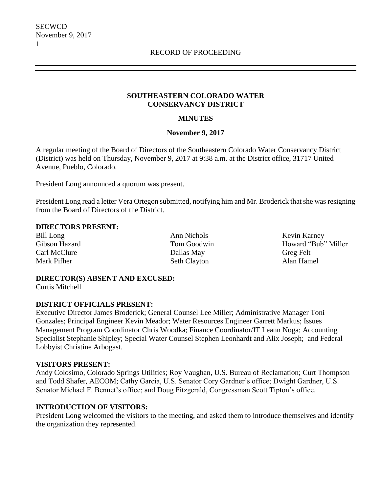### **SOUTHEASTERN COLORADO WATER CONSERVANCY DISTRICT**

## **MINUTES**

### **November 9, 2017**

A regular meeting of the Board of Directors of the Southeastern Colorado Water Conservancy District (District) was held on Thursday, November 9, 2017 at 9:38 a.m. at the District office, 31717 United Avenue, Pueblo, Colorado.

President Long announced a quorum was present.

President Long read a letter Vera Ortegon submitted, notifying him and Mr. Broderick that she was resigning from the Board of Directors of the District.

### **DIRECTORS PRESENT:**

Carl McClure Dallas May Greg Felt

Bill Long Ann Nichols Kevin Karney Mark Pifher Seth Clayton Seth Clayton Alan Hamel

Gibson Hazard Tom Goodwin Howard "Bub" Miller

#### **DIRECTOR(S) ABSENT AND EXCUSED:** Curtis Mitchell

### **DISTRICT OFFICIALS PRESENT:**

Executive Director James Broderick; General Counsel Lee Miller; Administrative Manager Toni Gonzales; Principal Engineer Kevin Meador; Water Resources Engineer Garrett Markus; Issues Management Program Coordinator Chris Woodka; Finance Coordinator/IT Leann Noga; Accounting Specialist Stephanie Shipley; Special Water Counsel Stephen Leonhardt and Alix Joseph; and Federal Lobbyist Christine Arbogast.

### **VISITORS PRESENT:**

Andy Colosimo, Colorado Springs Utilities; Roy Vaughan, U.S. Bureau of Reclamation; Curt Thompson and Todd Shafer, AECOM; Cathy Garcia, U.S. Senator Cory Gardner's office; Dwight Gardner, U.S. Senator Michael F. Bennet's office; and Doug Fitzgerald, Congressman Scott Tipton's office.

# **INTRODUCTION OF VISITORS:**

President Long welcomed the visitors to the meeting, and asked them to introduce themselves and identify the organization they represented.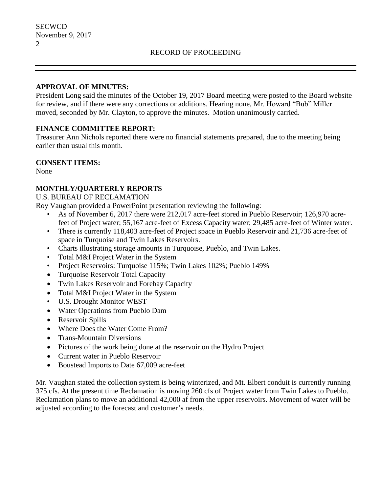### **APPROVAL OF MINUTES:**

President Long said the minutes of the October 19, 2017 Board meeting were posted to the Board website for review, and if there were any corrections or additions. Hearing none, Mr. Howard "Bub" Miller moved, seconded by Mr. Clayton, to approve the minutes. Motion unanimously carried.

# **FINANCE COMMITTEE REPORT:**

Treasurer Ann Nichols reported there were no financial statements prepared, due to the meeting being earlier than usual this month.

## **CONSENT ITEMS:**

None

# **MONTHLY/QUARTERLY REPORTS**

U.S. BUREAU OF RECLAMATION

Roy Vaughan provided a PowerPoint presentation reviewing the following:

- As of November 6, 2017 there were 212,017 acre-feet stored in Pueblo Reservoir; 126,970 acrefeet of Project water; 55,167 acre-feet of Excess Capacity water; 29,485 acre-feet of Winter water.
- There is currently 118,403 acre-feet of Project space in Pueblo Reservoir and 21,736 acre-feet of space in Turquoise and Twin Lakes Reservoirs.
- Charts illustrating storage amounts in Turquoise, Pueblo, and Twin Lakes.
- Total M&I Project Water in the System
- Project Reservoirs: Turquoise 115%; Twin Lakes 102%; Pueblo 149%
- Turquoise Reservoir Total Capacity
- Twin Lakes Reservoir and Forebay Capacity
- Total M&I Project Water in the System
- U.S. Drought Monitor WEST
- Water Operations from Pueblo Dam
- Reservoir Spills
- Where Does the Water Come From?
- Trans-Mountain Diversions
- Pictures of the work being done at the reservoir on the Hydro Project
- Current water in Pueblo Reservoir
- Boustead Imports to Date 67,009 acre-feet

Mr. Vaughan stated the collection system is being winterized, and Mt. Elbert conduit is currently running 375 cfs. At the present time Reclamation is moving 260 cfs of Project water from Twin Lakes to Pueblo. Reclamation plans to move an additional 42,000 af from the upper reservoirs. Movement of water will be adjusted according to the forecast and customer's needs.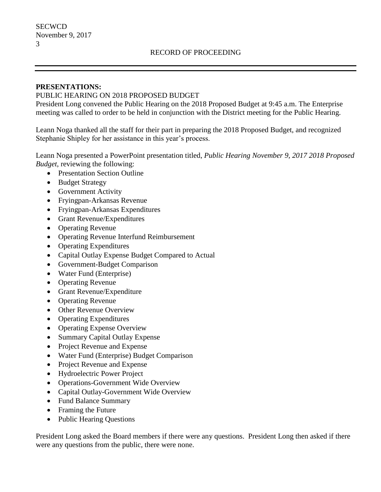### **PRESENTATIONS:**

### PUBLIC HEARING ON 2018 PROPOSED BUDGET

President Long convened the Public Hearing on the 2018 Proposed Budget at 9:45 a.m. The Enterprise meeting was called to order to be held in conjunction with the District meeting for the Public Hearing.

Leann Noga thanked all the staff for their part in preparing the 2018 Proposed Budget, and recognized Stephanie Shipley for her assistance in this year's process.

Leann Noga presented a PowerPoint presentation titled, *Public Hearing November 9, 2017 2018 Proposed Budget*, reviewing the following:

- Presentation Section Outline
- Budget Strategy
- Government Activity
- Fryingpan-Arkansas Revenue
- Fryingpan-Arkansas Expenditures
- Grant Revenue/Expenditures
- Operating Revenue
- Operating Revenue Interfund Reimbursement
- Operating Expenditures
- Capital Outlay Expense Budget Compared to Actual
- Government-Budget Comparison
- Water Fund (Enterprise)
- Operating Revenue
- Grant Revenue/Expenditure
- Operating Revenue
- Other Revenue Overview
- Operating Expenditures
- Operating Expense Overview
- Summary Capital Outlay Expense
- Project Revenue and Expense
- Water Fund (Enterprise) Budget Comparison
- Project Revenue and Expense
- Hydroelectric Power Project
- Operations-Government Wide Overview
- Capital Outlay-Government Wide Overview
- Fund Balance Summary
- Framing the Future
- Public Hearing Questions

President Long asked the Board members if there were any questions. President Long then asked if there were any questions from the public, there were none.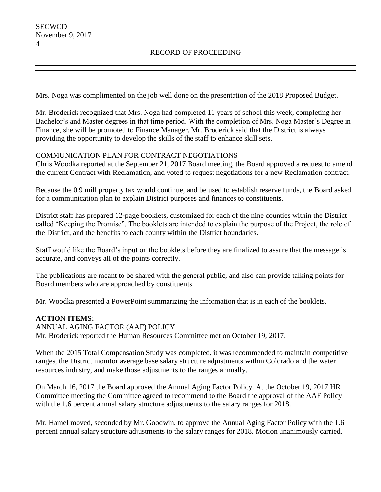Mrs. Noga was complimented on the job well done on the presentation of the 2018 Proposed Budget.

Mr. Broderick recognized that Mrs. Noga had completed 11 years of school this week, completing her Bachelor's and Master degrees in that time period. With the completion of Mrs. Noga Master's Degree in Finance, she will be promoted to Finance Manager. Mr. Broderick said that the District is always providing the opportunity to develop the skills of the staff to enhance skill sets.

# COMMUNICATION PLAN FOR CONTRACT NEGOTIATIONS

Chris Woodka reported at the September 21, 2017 Board meeting, the Board approved a request to amend the current Contract with Reclamation, and voted to request negotiations for a new Reclamation contract.

Because the 0.9 mill property tax would continue, and be used to establish reserve funds, the Board asked for a communication plan to explain District purposes and finances to constituents.

District staff has prepared 12-page booklets, customized for each of the nine counties within the District called "Keeping the Promise". The booklets are intended to explain the purpose of the Project, the role of the District, and the benefits to each county within the District boundaries.

Staff would like the Board's input on the booklets before they are finalized to assure that the message is accurate, and conveys all of the points correctly.

The publications are meant to be shared with the general public, and also can provide talking points for Board members who are approached by constituents

Mr. Woodka presented a PowerPoint summarizing the information that is in each of the booklets.

# **ACTION ITEMS:**

ANNUAL AGING FACTOR (AAF) POLICY Mr. Broderick reported the Human Resources Committee met on October 19, 2017.

When the 2015 Total Compensation Study was completed, it was recommended to maintain competitive ranges, the District monitor average base salary structure adjustments within Colorado and the water resources industry, and make those adjustments to the ranges annually.

On March 16, 2017 the Board approved the Annual Aging Factor Policy. At the October 19, 2017 HR Committee meeting the Committee agreed to recommend to the Board the approval of the AAF Policy with the 1.6 percent annual salary structure adjustments to the salary ranges for 2018.

Mr. Hamel moved, seconded by Mr. Goodwin, to approve the Annual Aging Factor Policy with the 1.6 percent annual salary structure adjustments to the salary ranges for 2018. Motion unanimously carried.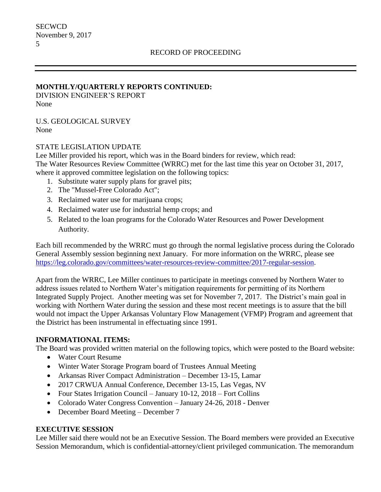### **MONTHLY/QUARTERLY REPORTS CONTINUED:**

DIVISION ENGINEER'S REPORT None

U.S. GEOLOGICAL SURVEY None

### STATE LEGISLATION UPDATE

Lee Miller provided his report, which was in the Board binders for review, which read: The Water Resources Review Committee (WRRC) met for the last time this year on October 31, 2017, where it approved committee legislation on the following topics:

- 1. Substitute water supply plans for gravel pits;
- 2. The "Mussel-Free Colorado Act";
- 3. Reclaimed water use for marijuana crops;
- 4. Reclaimed water use for industrial hemp crops; and
- 5. Related to the loan programs for the Colorado Water Resources and Power Development Authority.

Each bill recommended by the WRRC must go through the normal legislative process during the Colorado General Assembly session beginning next January. For more information on the WRRC, please see [https://leg.colorado.gov/committees/water-resources-review-committee/2017-regular-session.](https://leg.colorado.gov/committees/water-resources-review-committee/2017-regular-session)

Apart from the WRRC, Lee Miller continues to participate in meetings convened by Northern Water to address issues related to Northern Water's mitigation requirements for permitting of its Northern Integrated Supply Project. Another meeting was set for November 7, 2017. The District's main goal in working with Northern Water during the session and these most recent meetings is to assure that the bill would not impact the Upper Arkansas Voluntary Flow Management (VFMP) Program and agreement that the District has been instrumental in effectuating since 1991.

### **INFORMATIONAL ITEMS:**

The Board was provided written material on the following topics, which were posted to the Board website:

- Water Court Resume
- Winter Water Storage Program board of Trustees Annual Meeting
- Arkansas River Compact Administration December 13-15, Lamar
- 2017 CRWUA Annual Conference, December 13-15, Las Vegas, NV
- Four States Irrigation Council January 10-12, 2018 Fort Collins
- Colorado Water Congress Convention January 24-26, 2018 Denver
- December Board Meeting December 7

# **EXECUTIVE SESSION**

Lee Miller said there would not be an Executive Session. The Board members were provided an Executive Session Memorandum, which is confidential-attorney/client privileged communication. The memorandum